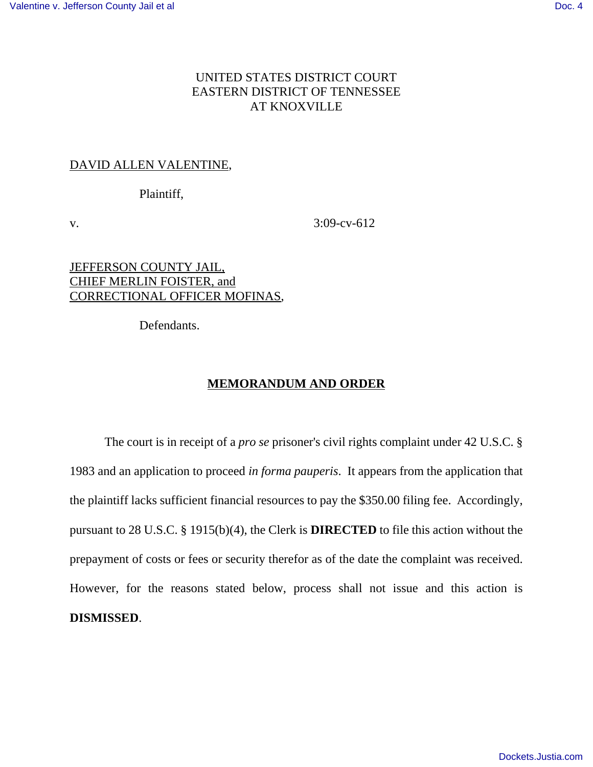## UNITED STATES DISTRICT COURT EASTERN DISTRICT OF TENNESSEE AT KNOXVILLE

## DAVID ALLEN VALENTINE,

Plaintiff,

v. 3:09-cv-612

JEFFERSON COUNTY JAIL, CHIEF MERLIN FOISTER, and CORRECTIONAL OFFICER MOFINAS,

Defendants.

## **MEMORANDUM AND ORDER**

The court is in receipt of a *pro se* prisoner's civil rights complaint under 42 U.S.C. § 1983 and an application to proceed *in forma pauperis*. It appears from the application that the plaintiff lacks sufficient financial resources to pay the \$350.00 filing fee. Accordingly, pursuant to 28 U.S.C. § 1915(b)(4), the Clerk is **DIRECTED** to file this action without the prepayment of costs or fees or security therefor as of the date the complaint was received. However, for the reasons stated below, process shall not issue and this action is **DISMISSED**.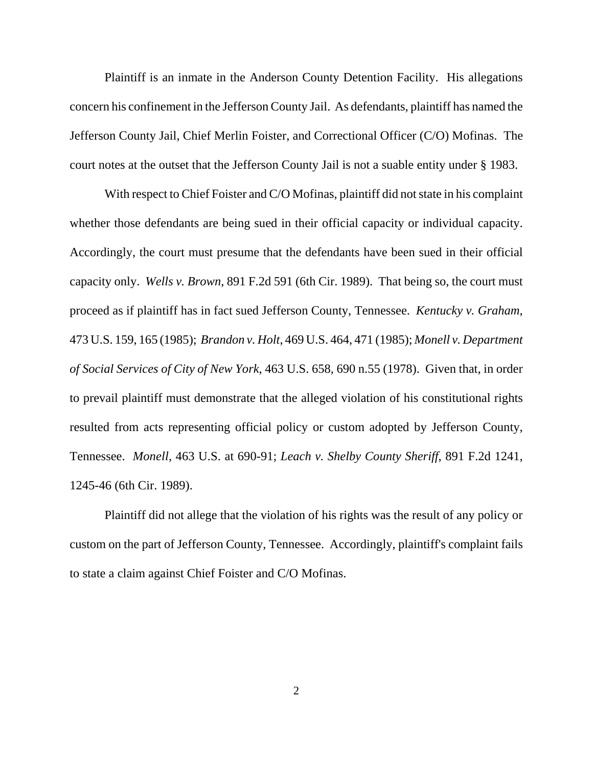Plaintiff is an inmate in the Anderson County Detention Facility. His allegations concern his confinement in the Jefferson County Jail. As defendants, plaintiff has named the Jefferson County Jail, Chief Merlin Foister, and Correctional Officer (C/O) Mofinas. The court notes at the outset that the Jefferson County Jail is not a suable entity under § 1983.

With respect to Chief Foister and C/O Mofinas, plaintiff did not state in his complaint whether those defendants are being sued in their official capacity or individual capacity. Accordingly, the court must presume that the defendants have been sued in their official capacity only. *Wells v. Brown*, 891 F.2d 591 (6th Cir. 1989). That being so, the court must proceed as if plaintiff has in fact sued Jefferson County, Tennessee. *Kentucky v. Graham*, 473 U.S. 159, 165 (1985); *Brandon v. Holt*, 469 U.S. 464, 471 (1985); *Monell v. Department of Social Services of City of New York*, 463 U.S. 658, 690 n.55 (1978). Given that, in order to prevail plaintiff must demonstrate that the alleged violation of his constitutional rights resulted from acts representing official policy or custom adopted by Jefferson County, Tennessee. *Monell*, 463 U.S. at 690-91; *Leach v. Shelby County Sheriff*, 891 F.2d 1241, 1245-46 (6th Cir. 1989).

Plaintiff did not allege that the violation of his rights was the result of any policy or custom on the part of Jefferson County, Tennessee. Accordingly, plaintiff's complaint fails to state a claim against Chief Foister and C/O Mofinas.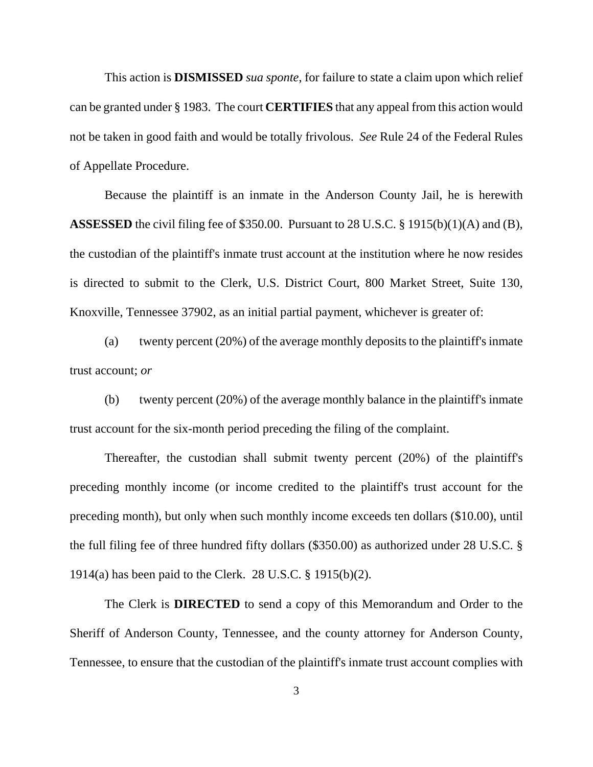This action is **DISMISSED** *sua sponte*, for failure to state a claim upon which relief can be granted under § 1983. The court **CERTIFIES** that any appeal from this action would not be taken in good faith and would be totally frivolous. *See* Rule 24 of the Federal Rules of Appellate Procedure.

Because the plaintiff is an inmate in the Anderson County Jail, he is herewith **ASSESSED** the civil filing fee of \$350.00. Pursuant to 28 U.S.C. § 1915(b)(1)(A) and (B), the custodian of the plaintiff's inmate trust account at the institution where he now resides is directed to submit to the Clerk, U.S. District Court, 800 Market Street, Suite 130, Knoxville, Tennessee 37902, as an initial partial payment, whichever is greater of:

(a) twenty percent (20%) of the average monthly deposits to the plaintiff's inmate trust account; *or*

(b) twenty percent (20%) of the average monthly balance in the plaintiff's inmate trust account for the six-month period preceding the filing of the complaint.

Thereafter, the custodian shall submit twenty percent (20%) of the plaintiff's preceding monthly income (or income credited to the plaintiff's trust account for the preceding month), but only when such monthly income exceeds ten dollars (\$10.00), until the full filing fee of three hundred fifty dollars (\$350.00) as authorized under 28 U.S.C. § 1914(a) has been paid to the Clerk. 28 U.S.C. § 1915(b)(2).

The Clerk is **DIRECTED** to send a copy of this Memorandum and Order to the Sheriff of Anderson County, Tennessee, and the county attorney for Anderson County, Tennessee, to ensure that the custodian of the plaintiff's inmate trust account complies with